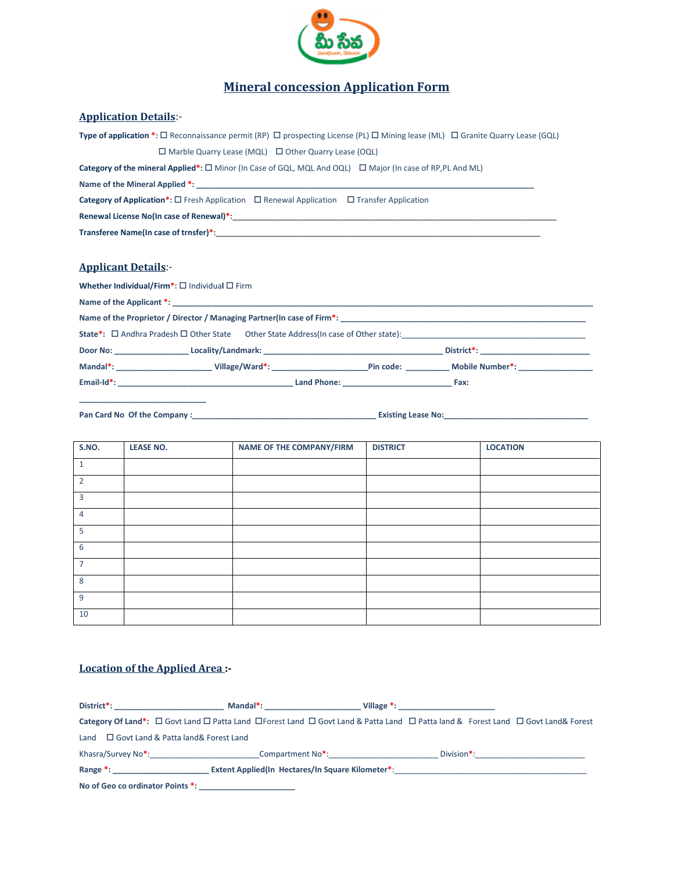

## Mineral concession Application Form

## Application Details:-

| Type of application *: $\Box$ Reconnaissance permit (RP) $\Box$ prospecting License (PL) $\Box$ Mining lease (ML) $\Box$ Granite Quarry Lease (GQL)                                                                            |
|--------------------------------------------------------------------------------------------------------------------------------------------------------------------------------------------------------------------------------|
| $\Box$ Marble Quarry Lease (MQL) $\Box$ Other Quarry Lease (OQL)                                                                                                                                                               |
| <b>Category of the mineral Applied*:</b> $\Box$ Minor (In Case of GQL, MQL And OQL) $\Box$ Major (In case of RP,PL And ML)                                                                                                     |
| Name of the Mineral Applied *:                                                                                                                                                                                                 |
| <b>Category of Application*:</b> $\Box$ Fresh Application $\Box$ Renewal Application $\Box$ Transfer Application                                                                                                               |
| Renewal License No(In case of Renewal)*:                                                                                                                                                                                       |
| Transferee Name(In case of trnsfer)*: Name of the second series of the second series of the series of the series of the series of the series of the series of the series of the series of the series of the series of the seri |

## Applicant Details:-

Whether Individual/Firm<sup>\*</sup>:  $\square$  Individual  $\square$  Firm

| State*: □ Andhra Pradesh □ Other State Other State Address(In case of Other state): |      |
|-------------------------------------------------------------------------------------|------|
|                                                                                     |      |
| Mandal*: Cillage/Ward*: Pin code: Mobile Number*:                                   |      |
|                                                                                     | Fax: |

Pan Card No Of the Company :\_\_\_\_\_\_\_\_\_\_\_\_\_\_\_\_\_\_\_\_\_\_\_\_\_\_\_\_\_\_\_\_\_\_\_\_\_\_\_\_\_\_ Existing Lease No:\_\_\_\_\_\_\_\_\_\_\_\_\_\_\_\_\_\_\_\_\_\_\_\_\_\_\_\_\_\_\_\_\_

| S.NO.          | <b>LEASE NO.</b> | NAME OF THE COMPANY/FIRM | <b>DISTRICT</b> | <b>LOCATION</b> |
|----------------|------------------|--------------------------|-----------------|-----------------|
| 1              |                  |                          |                 |                 |
| $\overline{2}$ |                  |                          |                 |                 |
| 3              |                  |                          |                 |                 |
| 4              |                  |                          |                 |                 |
| 5              |                  |                          |                 |                 |
| 6              |                  |                          |                 |                 |
| $\overline{7}$ |                  |                          |                 |                 |
| 8              |                  |                          |                 |                 |
| 9              |                  |                          |                 |                 |
| 10             |                  |                          |                 |                 |

## Location of the Applied Area :-

| District*: the contract of the contract of the contract of the contract of the contract of the contract of the contract of the contract of the contract of the contract of the contract of the contract of the contract of the | Mandal*: Annual Mandal Mandal Mandal Mandal Mandal Mandal Mandal Mandal Mandal Mandal Mandal Mandal Mandal Man |  |                                                                                                                                                                                                                                |
|--------------------------------------------------------------------------------------------------------------------------------------------------------------------------------------------------------------------------------|----------------------------------------------------------------------------------------------------------------|--|--------------------------------------------------------------------------------------------------------------------------------------------------------------------------------------------------------------------------------|
| Category Of Land*: $\Box$ Govt Land $\Box$ Patta Land $\Box$ Forest Land $\Box$ Govt Land & Patta Land $\Box$ Patta land & Forest Land $\Box$ Govt Land & Forest                                                               |                                                                                                                |  |                                                                                                                                                                                                                                |
| Land $\Box$ Govt Land & Patta land & Forest Land                                                                                                                                                                               |                                                                                                                |  |                                                                                                                                                                                                                                |
| Khasra/Survey No <sup>*</sup> :                                                                                                                                                                                                | Compartment No <sup>*</sup> :                                                                                  |  | Division*: the contract of the contract of the contract of the contract of the contract of the contract of the contract of the contract of the contract of the contract of the contract of the contract of the contract of the |
| Range *: and the state of the state of the state of the state of the state of the state of the state of the state of the state of the state of the state of the state of the state of the state of the state of the state of t | Extent Applied(In Hectares/In Square Kilometer*:                                                               |  |                                                                                                                                                                                                                                |
| No of Geo co ordinator Points *:                                                                                                                                                                                               |                                                                                                                |  |                                                                                                                                                                                                                                |